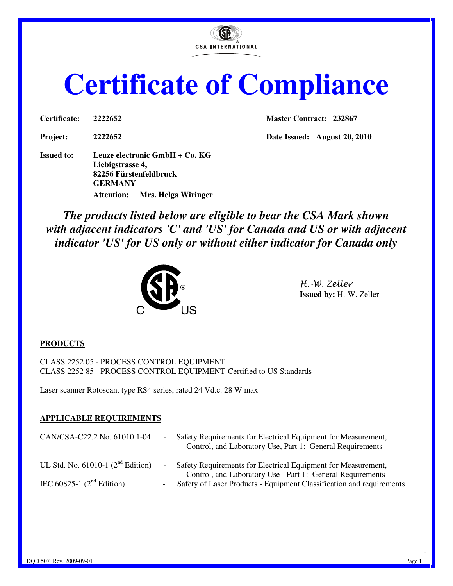**CSA INTERNATIONAL** 

# **Certificate of Compliance**

**Issued to: Leuze electronic GmbH + Co. KG Liebigstrasse 4, 82256 Fürstenfeldbruck GERMANY Attention: Mrs. Helga Wiringer** 

**Certificate: 2222652 Master Contract: 232867** 

**Project: 2222652 Date Issued: August 20, 2010** 

*The products listed below are eligible to bear the CSA Mark shown with adjacent indicators 'C' and 'US' for Canada and US or with adjacent indicator 'US' for US only or without either indicator for Canada only* 



H.-W. Zeller **Issued by:** H.-W. Zeller

#### **PRODUCTS**

CLASS 2252 05 - PROCESS CONTROL EQUIPMENT CLASS 2252 85 - PROCESS CONTROL EQUIPMENT-Certified to US Standards

Laser scanner Rotoscan, type RS4 series, rated 24 Vd.c. 28 W max

#### **APPLICABLE REQUIREMENTS**

| CAN/CSA-C22.2 No. 61010.1-04           | $\sim 100$               | Safety Requirements for Electrical Equipment for Measurement,<br>Control, and Laboratory Use, Part 1: General Requirements    |
|----------------------------------------|--------------------------|-------------------------------------------------------------------------------------------------------------------------------|
| UL Std. No. $61010-1$ ( $2nd$ Edition) |                          | - Safety Requirements for Electrical Equipment for Measurement,<br>Control, and Laboratory Use - Part 1: General Requirements |
| IEC 60825-1 $(2nd Edition)$            | $\overline{\phantom{a}}$ | Safety of Laser Products - Equipment Classification and requirements                                                          |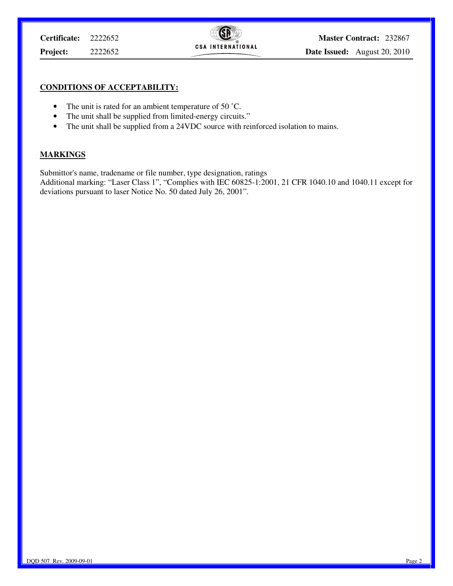#### **CONDITIONS OF ACCEPTABILITY:**

- The unit is rated for an ambient temperature of 50 °C.
- The unit shall be supplied from limited-energy circuits."
- The unit shall be supplied from a 24VDC source with reinforced isolation to mains.

#### **MARKINGS**

Submittor's name, tradename or file number, type designation, ratings

Additional marking: "Laser Class 1", "Complies with IEC 60825-1:2001, 21 CFR 1040.10 and 1040.11 except for deviations pursuant to laser Notice No. 50 dated July 26, 2001".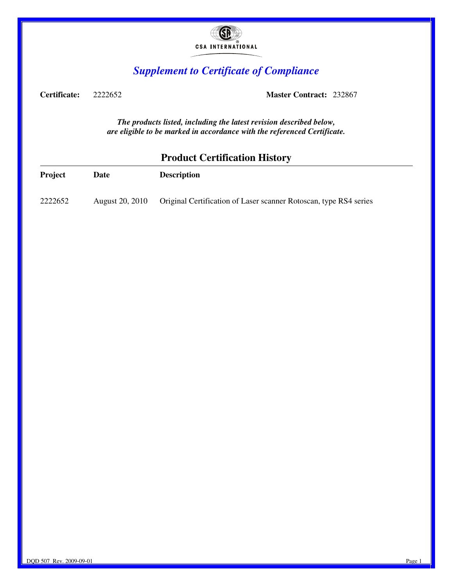

## *Supplement to Certificate of Compliance*

**Certificate:** 2222652 **Master Contract:** 232867

*The products listed, including the latest revision described below, are eligible to be marked in accordance with the referenced Certificate.* 

### **Product Certification History**

| <b>Project</b> | Date            | <b>Description</b>                                                |
|----------------|-----------------|-------------------------------------------------------------------|
| 2222652        | August 20, 2010 | Original Certification of Laser scanner Rotoscan, type RS4 series |